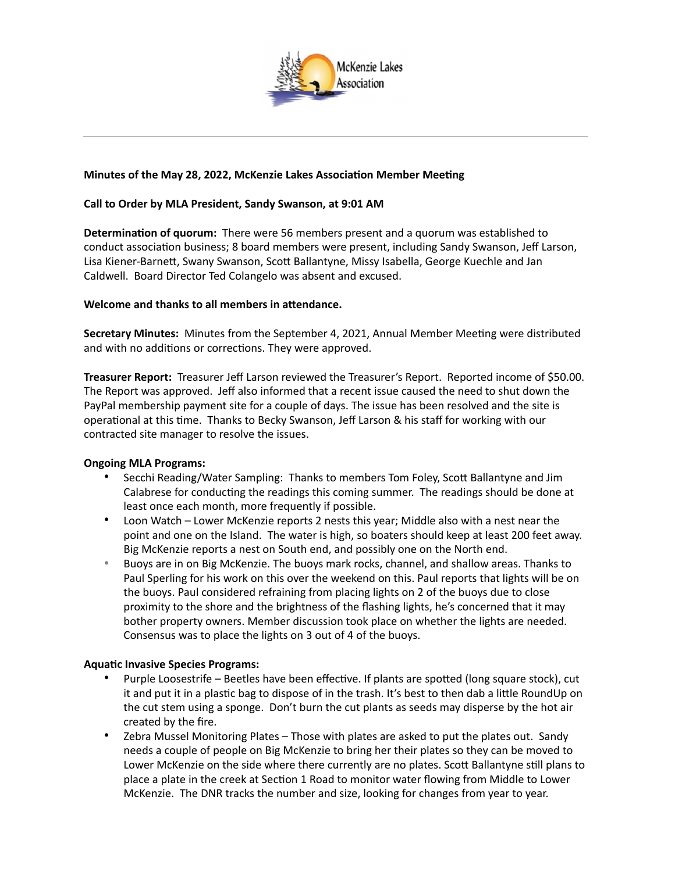

# **Minutes of the May 28, 2022, McKenzie Lakes Association Member Meeting**

# **Call to Order by MLA President, Sandy Swanson, at 9:01 AM**

**Determination of quorum:** There were 56 members present and a quorum was established to conduct association business; 8 board members were present, including Sandy Swanson, Jeff Larson, Lisa Kiener-Barnett, Swany Swanson, Scott Ballantyne, Missy Isabella, George Kuechle and Jan Caldwell. Board Director Ted Colangelo was absent and excused.

## **Welcome and thanks to all members in attendance.**

**Secretary Minutes:** Minutes from the September 4, 2021, Annual Member Meeting were distributed and with no additions or corrections. They were approved.

**Treasurer Report:** Treasurer Jeff Larson reviewed the Treasurer's Report. Reported income of \$50.00. The Report was approved. Jeff also informed that a recent issue caused the need to shut down the PayPal membership payment site for a couple of days. The issue has been resolved and the site is operational at this time. Thanks to Becky Swanson, Jeff Larson & his staff for working with our contracted site manager to resolve the issues.

### **Ongoing MLA Programs:**

- Secchi Reading/Water Sampling: Thanks to members Tom Foley, Scott Ballantyne and Jim Calabrese for conducting the readings this coming summer. The readings should be done at least once each month, more frequently if possible.
- Loon Watch Lower McKenzie reports 2 nests this year; Middle also with a nest near the point and one on the Island. The water is high, so boaters should keep at least 200 feet away. Big McKenzie reports a nest on South end, and possibly one on the North end.
- Buoys are in on Big McKenzie. The buoys mark rocks, channel, and shallow areas. Thanks to Paul Sperling for his work on this over the weekend on this. Paul reports that lights will be on the buoys. Paul considered refraining from placing lights on 2 of the buoys due to close proximity to the shore and the brightness of the flashing lights, he's concerned that it may bother property owners. Member discussion took place on whether the lights are needed. Consensus was to place the lights on 3 out of 4 of the buoys.

### **Aquatic Invasive Species Programs:**

- Purple Loosestrife Beetles have been effective. If plants are spotted (long square stock), cut it and put it in a plastic bag to dispose of in the trash. It's best to then dab a little RoundUp on the cut stem using a sponge. Don't burn the cut plants as seeds may disperse by the hot air created by the fire.
- Zebra Mussel Monitoring Plates Those with plates are asked to put the plates out. Sandy needs a couple of people on Big McKenzie to bring her their plates so they can be moved to Lower McKenzie on the side where there currently are no plates. Scott Ballantyne still plans to place a plate in the creek at Section 1 Road to monitor water flowing from Middle to Lower McKenzie. The DNR tracks the number and size, looking for changes from year to year.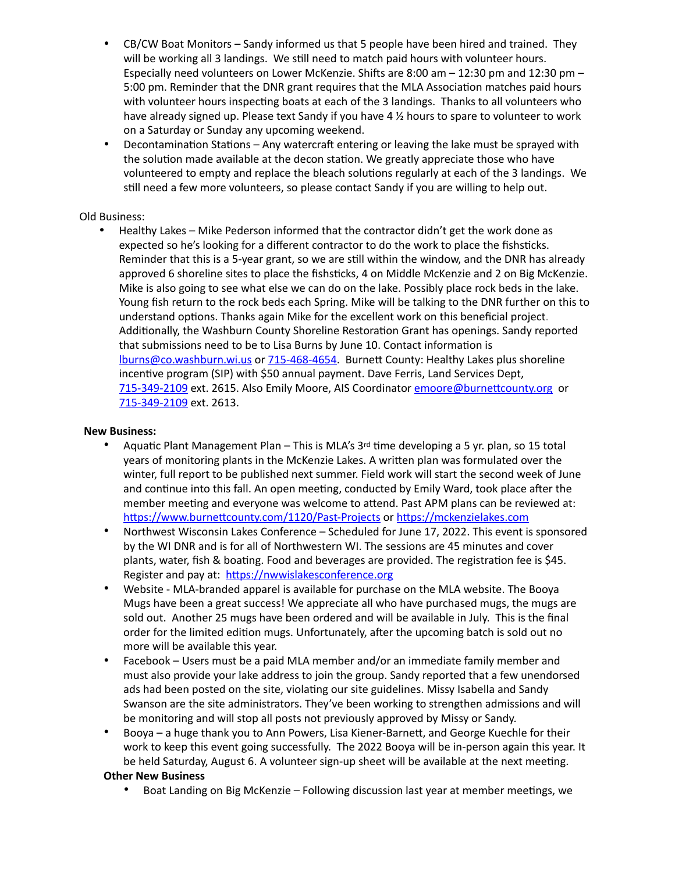- CB/CW Boat Monitors Sandy informed us that 5 people have been hired and trained. They will be working all 3 landings. We still need to match paid hours with volunteer hours. Especially need volunteers on Lower McKenzie. Shifts are 8:00 am – 12:30 pm and 12:30 pm – 5:00 pm. Reminder that the DNR grant requires that the MLA Association matches paid hours with volunteer hours inspecting boats at each of the 3 landings. Thanks to all volunteers who have already signed up. Please text Sandy if you have 4 % hours to spare to volunteer to work on a Saturday or Sunday any upcoming weekend.
- Decontamination Stations Any watercraft entering or leaving the lake must be sprayed with the solution made available at the decon station. We greatly appreciate those who have volunteered to empty and replace the bleach solutions regularly at each of the 3 landings. We still need a few more volunteers, so please contact Sandy if you are willing to help out.

# Old Business:

• Healthy Lakes – Mike Pederson informed that the contractor didn't get the work done as expected so he's looking for a different contractor to do the work to place the fishsticks. Reminder that this is a 5-year grant, so we are still within the window, and the DNR has already approved 6 shoreline sites to place the fishsticks, 4 on Middle McKenzie and 2 on Big McKenzie. Mike is also going to see what else we can do on the lake. Possibly place rock beds in the lake. Young fish return to the rock beds each Spring. Mike will be talking to the DNR further on this to understand options. Thanks again Mike for the excellent work on this beneficial project. Additionally, the Washburn County Shoreline Restoration Grant has openings. Sandy reported that submissions need to be to Lisa Burns by June 10. Contact information is [lburns@co.washburn.wi.us](mailto:lburns@co.washburn.wi.us) or [715-468-4654.](tel:715-468-4654) Burnett County: Healthy Lakes plus shoreline incentive program (SIP) with \$50 annual payment. Dave Ferris, Land Services Dept, [715-349-2109](tel:715-349-2109) ext. 2615. Also Emily Moore, AIS Coordinator [emoore@burnettcounty.org](mailto:emoore@burnettcounty.org) or [715-349-2109](tel:715-349-2109) ext. 2613.

## **New Business:**

- Aquatic Plant Management Plan This is MLA's 3rd time developing a 5 yr. plan, so 15 total years of monitoring plants in the McKenzie Lakes. A written plan was formulated over the winter, full report to be published next summer. Field work will start the second week of June and continue into this fall. An open meeting, conducted by Emily Ward, took place after the member meeting and everyone was welcome to attend. Past APM plans can be reviewed at: [https://www.burnettcounty.com/1120/Past-Projects](https://urldefense.com/v3/__https:/www.burnettcounty.com/1120/Past-Projects__%3B!!FSOJMA!IFkgiN3ddmLQsYTYCcvTcQ7u2UmjBQdo0rKvGY2clcFVfISW3Xfq73vHRvXVgwtG6cl4rXM7fpu-abSUZQU$) or [https://mckenzielakes.com](https://urldefense.com/v3/__https:/mckenzielakes.com__%3B!!FSOJMA!IFkgiN3ddmLQsYTYCcvTcQ7u2UmjBQdo0rKvGY2clcFVfISW3Xfq73vHRvXVgwtG6cl4rXM7fpu-Em0DhX4$)
- Northwest Wisconsin Lakes Conference Scheduled for June 17, 2022. This event is sponsored by the WI DNR and is for all of Northwestern WI. The sessions are 45 minutes and cover plants, water, fish & boating. Food and beverages are provided. The registration fee is \$45. Register and pay at: [https://nwwislakesconference.org](https://urldefense.com/v3/__https:/nwwislakesconference.org__%3B!!FSOJMA!IFkgiN3ddmLQsYTYCcvTcQ7u2UmjBQdo0rKvGY2clcFVfISW3Xfq73vHRvXVgwtG6cl4rXM7fpu-Sw6P1k4$)
- Website MLA-branded apparel is available for purchase on the MLA website. The Booya Mugs have been a great success! We appreciate all who have purchased mugs, the mugs are sold out. Another 25 mugs have been ordered and will be available in July. This is the final order for the limited edition mugs. Unfortunately, after the upcoming batch is sold out no more will be available this year.
- Facebook Users must be a paid MLA member and/or an immediate family member and must also provide your lake address to join the group. Sandy reported that a few unendorsed ads had been posted on the site, violating our site guidelines. Missy Isabella and Sandy Swanson are the site administrators. They've been working to strengthen admissions and will be monitoring and will stop all posts not previously approved by Missy or Sandy.
- Booya a huge thank you to Ann Powers, Lisa Kiener-Barnett, and George Kuechle for their work to keep this event going successfully. The 2022 Booya will be in-person again this year. It be held Saturday, August 6. A volunteer sign-up sheet will be available at the next meeting.

# **Other New Business**

• Boat Landing on Big McKenzie – Following discussion last year at member meetings, we